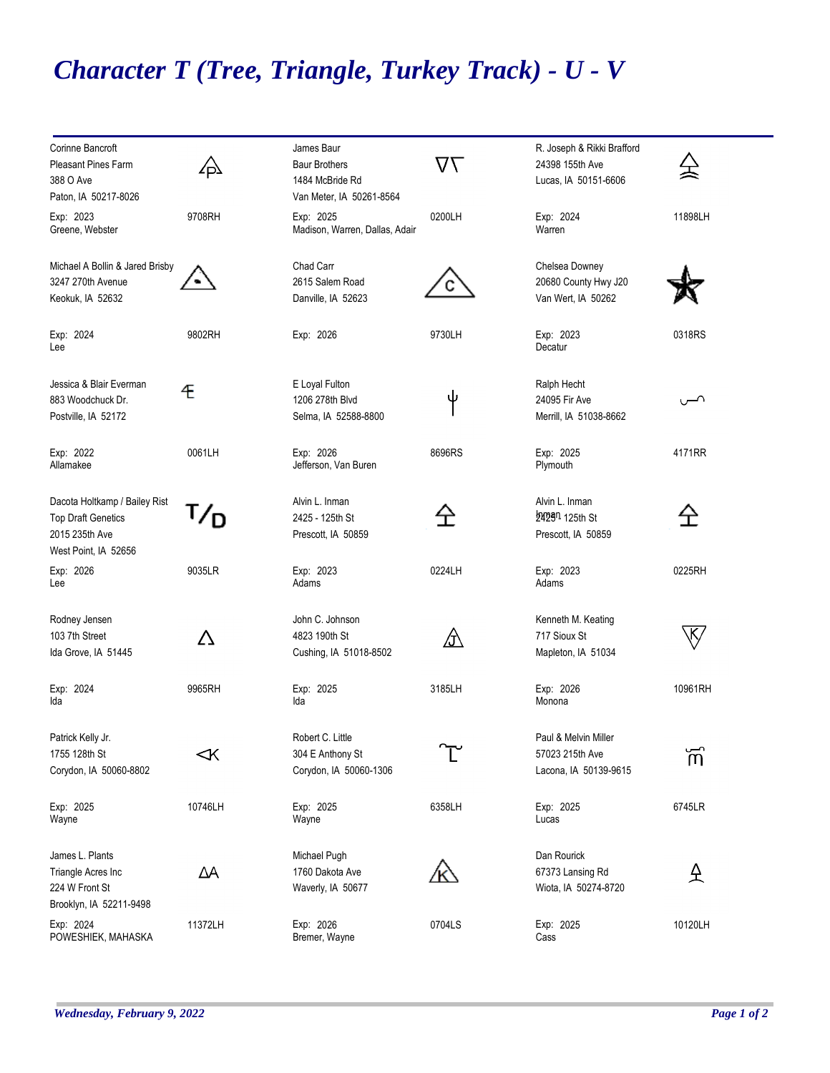## *Character T (Tree, Triangle, Turkey Track) - U - V*

| Corinne Bancroft<br><b>Pleasant Pines Farm</b>                                                       | ∠Þ         | James Baur<br><b>Baur Brothers</b>                             | $\Delta\angle$ | R. Joseph & Rikki Brafford<br>24398 155th Ave                      |                |
|------------------------------------------------------------------------------------------------------|------------|----------------------------------------------------------------|----------------|--------------------------------------------------------------------|----------------|
| 388 O Ave<br>Paton, IA 50217-8026                                                                    |            | 1484 McBride Rd<br>Van Meter, IA 50261-8564                    |                | Lucas, IA 50151-6606                                               |                |
| Exp: 2023<br>Greene, Webster                                                                         | 9708RH     | Exp: 2025<br>Madison, Warren, Dallas, Adair                    | 0200LH         | Exp: 2024<br>Warren                                                | 11898LH        |
| Michael A Bollin & Jared Brisby<br>3247 270th Avenue<br>Keokuk, IA 52632                             |            | Chad Carr<br>2615 Salem Road<br>Danville, IA 52623             |                | Chelsea Downey<br>20680 County Hwy J20<br>Van Wert, IA 50262       |                |
| Exp: 2024<br>Lee                                                                                     | 9802RH     | Exp: 2026                                                      | 9730LH         | Exp: 2023<br>Decatur                                               | 0318RS         |
| Jessica & Blair Everman<br>883 Woodchuck Dr.<br>Postville, IA 52172                                  | Æ          | E Loyal Fulton<br>1206 278th Blvd<br>Selma, IA 52588-8800      | ψ              | Ralph Hecht<br>24095 Fir Ave<br>Merrill, IA 51038-8662             | ∼ب             |
| Exp: 2022<br>Allamakee                                                                               | 0061LH     | Exp: 2026<br>Jefferson, Van Buren                              | 8696RS         | Exp: 2025<br>Plymouth                                              | 4171RR         |
| Dacota Holtkamp / Bailey Rist<br><b>Top Draft Genetics</b><br>2015 235th Ave<br>West Point, IA 52656 |            | Alvin L. Inman<br>2425 - 125th St<br>Prescott, IA 50859        | 仝              | Alvin L. Inman<br>2429 <sup>n</sup> 125th St<br>Prescott, IA 50859 | 仝              |
| Exp: 2026<br>Lee                                                                                     | 9035LR     | Exp: 2023<br>Adams                                             | 0224LH         | Exp: 2023<br>Adams                                                 | 0225RH         |
| Rodney Jensen<br>103 7th Street<br>Ida Grove, IA 51445                                               | Δ          | John C. Johnson<br>4823 190th St<br>Cushing, IA 51018-8502     | <u> 分</u>      | Kenneth M. Keating<br>717 Sioux St<br>Mapleton, IA 51034           | k⁄             |
| Exp: 2024<br>Ida                                                                                     | 9965RH     | Exp: 2025<br>Ida                                               | 3185LH         | Exp: 2026<br>Monona                                                | 10961RH        |
| Patrick Kelly Jr.<br>1755 128th St<br>Corydon, IA 50060-8802                                         | $\prec$ K  | Robert C. Little<br>304 E Anthony St<br>Corydon, IA 50060-1306 |                | Paul & Melvin Miller<br>57023 215th Ave<br>Lacona, IA 50139-9615   | $\overline{m}$ |
| Exp: 2025<br>Wayne                                                                                   | 10746LH    | Exp: 2025<br>Wayne                                             | 6358LH         | Exp: 2025<br>Lucas                                                 | 6745LR         |
| James L. Plants<br>Triangle Acres Inc<br>224 W Front St<br>Brooklyn, IA 52211-9498                   | $\Delta A$ | Michael Pugh<br>1760 Dakota Ave<br>Waverly, IA 50677           |                | Dan Rourick<br>67373 Lansing Rd<br>Wiota, IA 50274-8720            | 仝              |
| Exp: 2024<br>POWESHIEK, MAHASKA                                                                      | 11372LH    | Exp: 2026<br>Bremer, Wayne                                     | 0704LS         | Exp: 2025<br>Cass                                                  | 10120LH        |